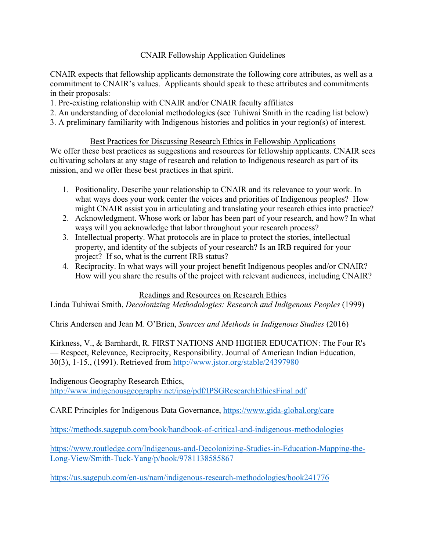## CNAIR Fellowship Application Guidelines

CNAIR expects that fellowship applicants demonstrate the following core attributes, as well as a commitment to CNAIR's values. Applicants should speak to these attributes and commitments in their proposals:

- 1. Pre-existing relationship with CNAIR and/or CNAIR faculty affiliates
- 2. An understanding of decolonial methodologies (see Tuhiwai Smith in the reading list below)
- 3. A preliminary familiarity with Indigenous histories and politics in your region(s) of interest.

Best Practices for Discussing Research Ethics in Fellowship Applications We offer these best practices as suggestions and resources for fellowship applicants. CNAIR sees cultivating scholars at any stage of research and relation to Indigenous research as part of its mission, and we offer these best practices in that spirit.

- 1. Positionality. Describe your relationship to CNAIR and its relevance to your work. In what ways does your work center the voices and priorities of Indigenous peoples? How might CNAIR assist you in articulating and translating your research ethics into practice?
- 2. Acknowledgment. Whose work or labor has been part of your research, and how? In what ways will you acknowledge that labor throughout your research process?
- 3. Intellectual property. What protocols are in place to protect the stories, intellectual property, and identity of the subjects of your research? Is an IRB required for your project? If so, what is the current IRB status?
- 4. Reciprocity. In what ways will your project benefit Indigenous peoples and/or CNAIR? How will you share the results of the project with relevant audiences, including CNAIR?

## Readings and Resources on Research Ethics

Linda Tuhiwai Smith, *Decolonizing Methodologies: Research and Indigenous Peoples* (1999)

Chris Andersen and Jean M. O'Brien, *Sources and Methods in Indigenous Studies* (2016)

Kirkness, V., & Barnhardt, R. FIRST NATIONS AND HIGHER EDUCATION: The Four R's — Respect, Relevance, Reciprocity, Responsibility. Journal of American Indian Education, 30(3), 1-15., (1991). Retrieved from http://www.jstor.org/stable/24397980

Indigenous Geography Research Ethics, http://www.indigenousgeography.net/ipsg/pdf/IPSGResearchEthicsFinal.pdf

CARE Principles for Indigenous Data Governance, https://www.gida-global.org/care

https://methods.sagepub.com/book/handbook-of-critical-and-indigenous-methodologies

https://www.routledge.com/Indigenous-and-Decolonizing-Studies-in-Education-Mapping-the-Long-View/Smith-Tuck-Yang/p/book/9781138585867

https://us.sagepub.com/en-us/nam/indigenous-research-methodologies/book241776